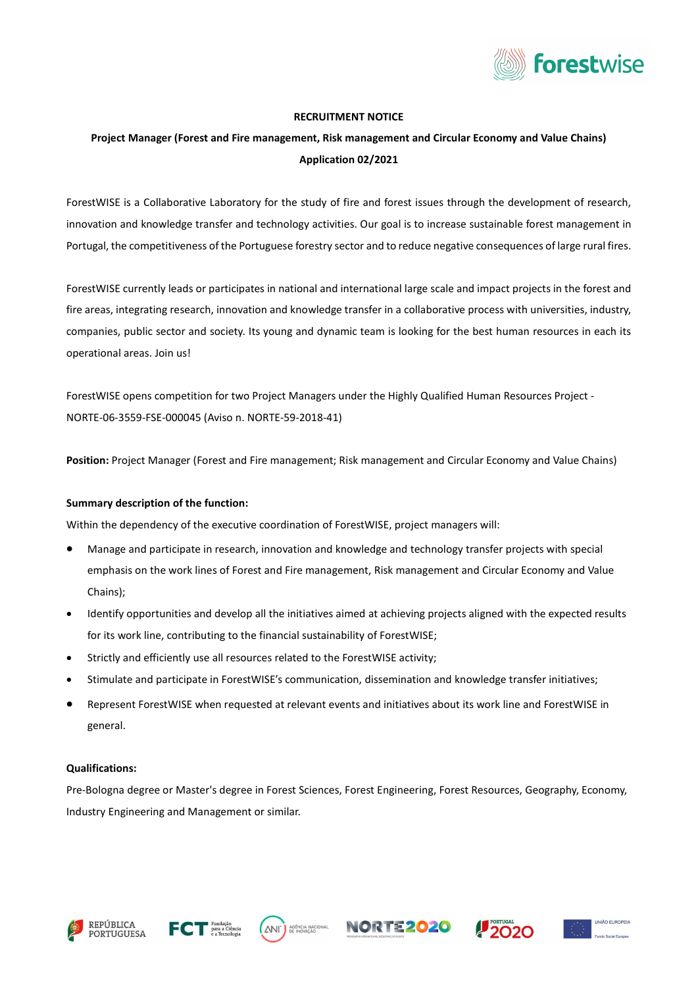

## RECRUITMENT NOTICE

# Project Manager (Forest and Fire management, Risk management and Circular Economy and Value Chains) Application 02/2021

ForestWISE is a Collaborative Laboratory for the study of fire and forest issues through the development of research, innovation and knowledge transfer and technology activities. Our goal is to increase sustainable forest management in Portugal, the competitiveness of the Portuguese forestry sector and to reduce negative consequences of large rural fires.

ForestWISE currently leads or participates in national and international large scale and impact projects in the forest and fire areas, integrating research, innovation and knowledge transfer in a collaborative process with universities, industry, companies, public sector and society. Its young and dynamic team is looking for the best human resources in each its operational areas. Join us!

ForestWISE opens competition for two Project Managers under the Highly Qualified Human Resources Project - NORTE-06-3559-FSE-000045 (Aviso n. NORTE-59-2018-41)

Position: Project Manager (Forest and Fire management; Risk management and Circular Economy and Value Chains)

#### Summary description of the function:

Within the dependency of the executive coordination of ForestWISE, project managers will:

- Manage and participate in research, innovation and knowledge and technology transfer projects with special emphasis on the work lines of Forest and Fire management, Risk management and Circular Economy and Value Chains);
- Identify opportunities and develop all the initiatives aimed at achieving projects aligned with the expected results for its work line, contributing to the financial sustainability of ForestWISE;
- Strictly and efficiently use all resources related to the ForestWISE activity;
- Stimulate and participate in ForestWISE's communication, dissemination and knowledge transfer initiatives;
- Represent ForestWISE when requested at relevant events and initiatives about its work line and ForestWISE in general.

#### Qualifications:

Pre-Bologna degree or Master's degree in Forest Sciences, Forest Engineering, Forest Resources, Geography, Economy, Industry Engineering and Management or similar.









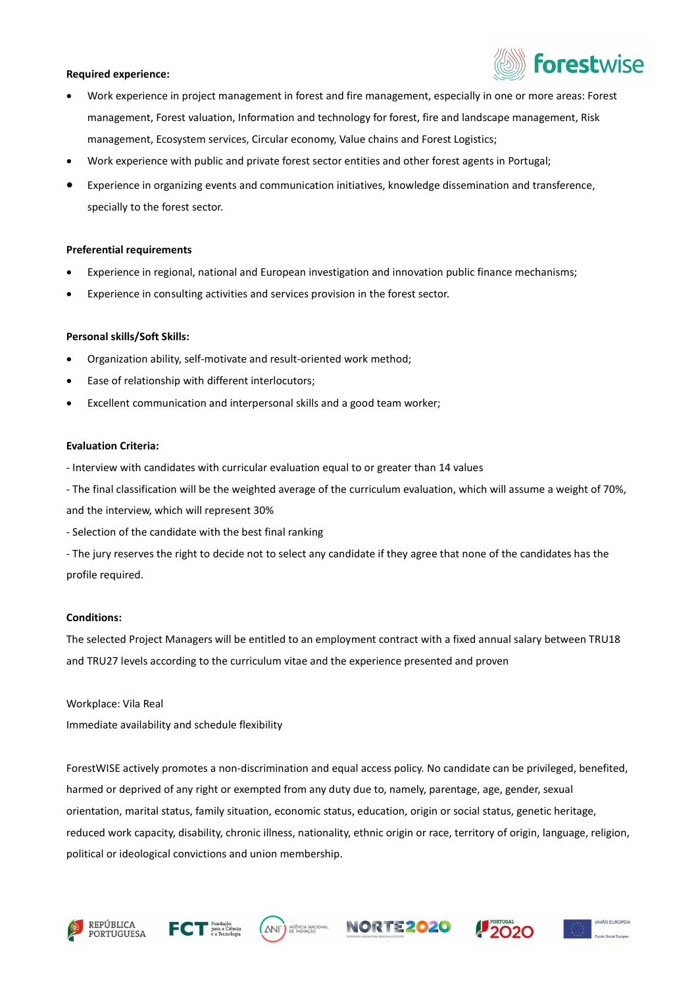#### Required experience:



- Work experience in project management in forest and fire management, especially in one or more areas: Forest management, Forest valuation, Information and technology for forest, fire and landscape management, Risk management, Ecosystem services, Circular economy, Value chains and Forest Logistics;
- Work experience with public and private forest sector entities and other forest agents in Portugal;
- Experience in organizing events and communication initiatives, knowledge dissemination and transference, specially to the forest sector.

## Preferential requirements

- Experience in regional, national and European investigation and innovation public finance mechanisms;
- Experience in consulting activities and services provision in the forest sector.

## Personal skills/Soft Skills:

- Organization ability, self-motivate and result-oriented work method;
- Ease of relationship with different interlocutors;
- Excellent communication and interpersonal skills and a good team worker;

## Evaluation Criteria:

- Interview with candidates with curricular evaluation equal to or greater than 14 values
- The final classification will be the weighted average of the curriculum evaluation, which will assume a weight of 70%, and the interview, which will represent 30%
- Selection of the candidate with the best final ranking
- The jury reserves the right to decide not to select any candidate if they agree that none of the candidates has the profile required.

## Conditions:

The selected Project Managers will be entitled to an employment contract with a fixed annual salary between TRU18 and TRU27 levels according to the curriculum vitae and the experience presented and proven

Workplace: Vila Real Immediate availability and schedule flexibility

ForestWISE actively promotes a non-discrimination and equal access policy. No candidate can be privileged, benefited, harmed or deprived of any right or exempted from any duty due to, namely, parentage, age, gender, sexual orientation, marital status, family situation, economic status, education, origin or social status, genetic heritage, reduced work capacity, disability, chronic illness, nationality, ethnic origin or race, territory of origin, language, religion, political or ideological convictions and union membership.